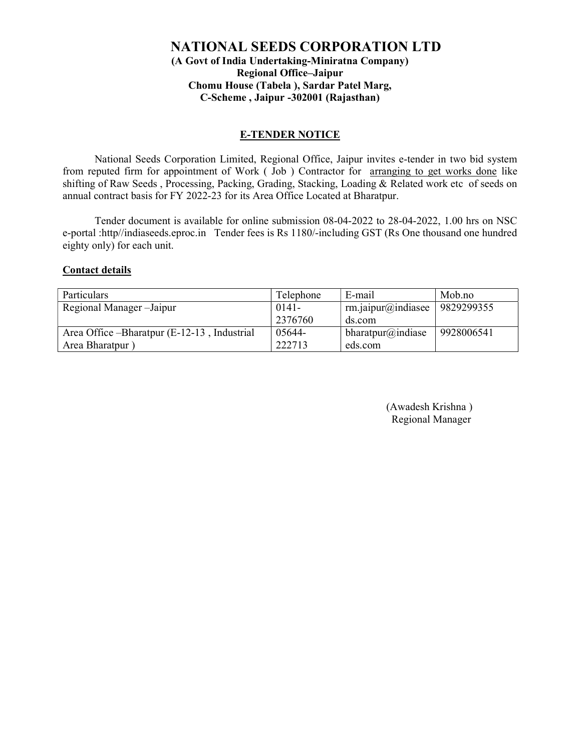## NATIONAL SEEDS CORPORATION LTD (A Govt of India Undertaking-Miniratna Company) Regional Office–Jaipur Chomu House (Tabela ), Sardar Patel Marg, C-Scheme , Jaipur -302001 (Rajasthan)

### E-TENDER NOTICE

National Seeds Corporation Limited, Regional Office, Jaipur invites e-tender in two bid system from reputed firm for appointment of Work ( Job ) Contractor for arranging to get works done like shifting of Raw Seeds , Processing, Packing, Grading, Stacking, Loading & Related work etc of seeds on annual contract basis for FY 2022-23 for its Area Office Located at Bharatpur.

Tender document is available for online submission 08-04-2022 to 28-04-2022, 1.00 hrs on NSC e-portal :http//indiaseeds.eproc.in Tender fees is Rs 1180/-including GST (Rs One thousand one hundred eighty only) for each unit.

#### Contact details

| Particulars                                  | Telephone | E-mail                    | Mob.no     |
|----------------------------------------------|-----------|---------------------------|------------|
| Regional Manager-Jaipur                      | $0141 -$  | $rm.$ jaipur $@$ indiasee | 9829299355 |
|                                              | 2376760   | ds.com                    |            |
| Area Office – Bharatpur (E-12-13, Industrial | 05644-    | bharatpur@indiase         | 9928006541 |
| Area Bharatpur)                              | 222713    | eds.com                   |            |

 (Awadesh Krishna ) Regional Manager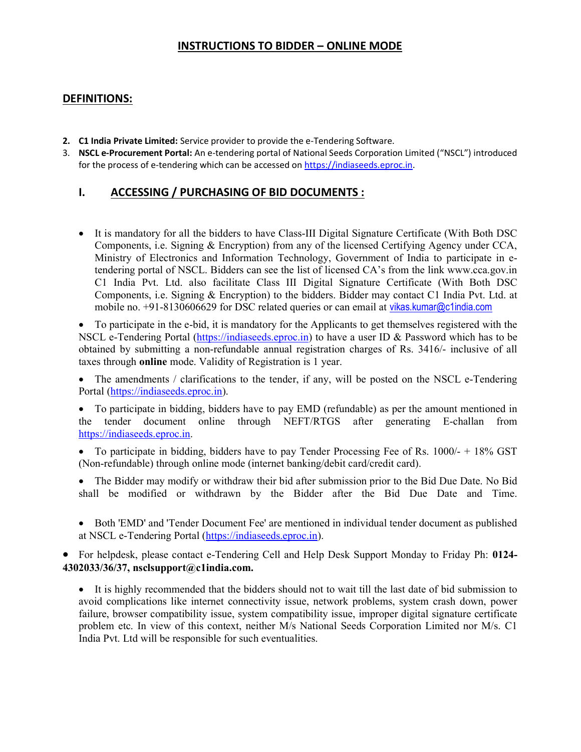## INSTRUCTIONS TO BIDDER – ONLINE MODE

### DEFINITIONS:

- 2. C1 India Private Limited: Service provider to provide the e-Tendering Software.
- 3. NSCL e-Procurement Portal: An e-tendering portal of National Seeds Corporation Limited ("NSCL") introduced for the process of e-tendering which can be accessed on https://indiaseeds.eproc.in.

## I. ACCESSING / PURCHASING OF BID DOCUMENTS :

 It is mandatory for all the bidders to have Class-III Digital Signature Certificate (With Both DSC Components, i.e. Signing & Encryption) from any of the licensed Certifying Agency under CCA, Ministry of Electronics and Information Technology, Government of India to participate in etendering portal of NSCL. Bidders can see the list of licensed CA's from the link www.cca.gov.in C1 India Pvt. Ltd. also facilitate Class III Digital Signature Certificate (With Both DSC Components, i.e. Signing & Encryption) to the bidders. Bidder may contact C1 India Pvt. Ltd. at mobile no. +91-8130606629 for DSC related queries or can email at vikas.kumar@c1india.com

 To participate in the e-bid, it is mandatory for the Applicants to get themselves registered with the NSCL e-Tendering Portal (https://indiaseeds.eproc.in) to have a user ID & Password which has to be obtained by submitting a non-refundable annual registration charges of Rs. 3416/- inclusive of all taxes through online mode. Validity of Registration is 1 year.

• The amendments / clarifications to the tender, if any, will be posted on the NSCL e-Tendering Portal (https://indiaseeds.eproc.in).

 To participate in bidding, bidders have to pay EMD (refundable) as per the amount mentioned in the tender document online through NEFT/RTGS after generating E-challan from https://indiaseeds.eproc.in.

• To participate in bidding, bidders have to pay Tender Processing Fee of Rs. 1000/- + 18% GST (Non-refundable) through online mode (internet banking/debit card/credit card).

 The Bidder may modify or withdraw their bid after submission prior to the Bid Due Date. No Bid shall be modified or withdrawn by the Bidder after the Bid Due Date and Time.

 Both 'EMD' and 'Tender Document Fee' are mentioned in individual tender document as published at NSCL e-Tendering Portal (https://indiaseeds.eproc.in).

 For helpdesk, please contact e-Tendering Cell and Help Desk Support Monday to Friday Ph: 0124- 4302033/36/37, nsclsupport@c1india.com.

 It is highly recommended that the bidders should not to wait till the last date of bid submission to avoid complications like internet connectivity issue, network problems, system crash down, power failure, browser compatibility issue, system compatibility issue, improper digital signature certificate problem etc. In view of this context, neither M/s National Seeds Corporation Limited nor M/s. C1 India Pvt. Ltd will be responsible for such eventualities.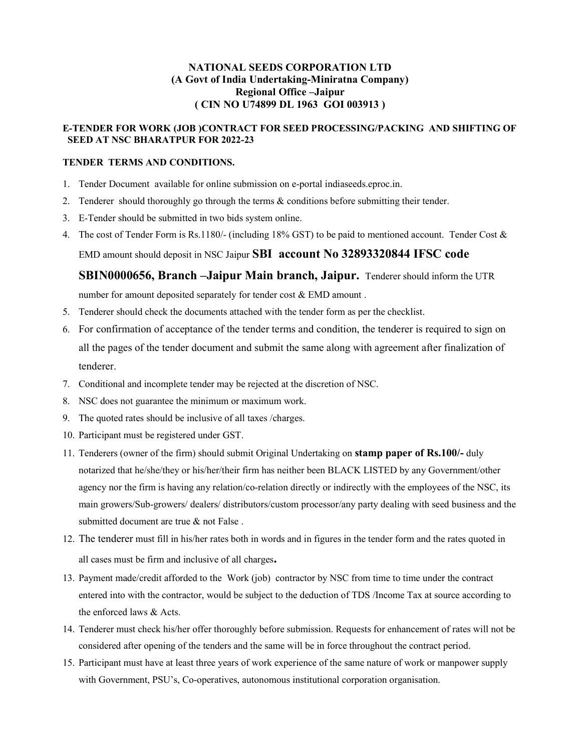### NATIONAL SEEDS CORPORATION LTD (A Govt of India Undertaking-Miniratna Company) Regional Office –Jaipur ( CIN NO U74899 DL 1963 GOI 003913 )

### E-TENDER FOR WORK (JOB )CONTRACT FOR SEED PROCESSING/PACKING AND SHIFTING OF SEED AT NSC BHARATPUR FOR 2022-23

### TENDER TERMS AND CONDITIONS.

- 1. Tender Document available for online submission on e-portal indiaseeds.eproc.in.
- 2. Tenderer should thoroughly go through the terms & conditions before submitting their tender.
- 3. E-Tender should be submitted in two bids system online.
- 4. The cost of Tender Form is Rs.1180/- (including 18% GST) to be paid to mentioned account. Tender Cost & EMD amount should deposit in NSC Jaipur SBI account No 32893320844 IFSC code

## SBIN0000656, Branch –Jaipur Main branch, Jaipur. Tenderer should inform the UTR

number for amount deposited separately for tender cost & EMD amount .

- 5. Tenderer should check the documents attached with the tender form as per the checklist.
- 6. For confirmation of acceptance of the tender terms and condition, the tenderer is required to sign on all the pages of the tender document and submit the same along with agreement after finalization of tenderer.
- 7. Conditional and incomplete tender may be rejected at the discretion of NSC.
- 8. NSC does not guarantee the minimum or maximum work.
- 9. The quoted rates should be inclusive of all taxes /charges.
- 10. Participant must be registered under GST.
- 11. Tenderers (owner of the firm) should submit Original Undertaking on **stamp paper of Rs.100/-** duly notarized that he/she/they or his/her/their firm has neither been BLACK LISTED by any Government/other agency nor the firm is having any relation/co-relation directly or indirectly with the employees of the NSC, its main growers/Sub-growers/ dealers/ distributors/custom processor/any party dealing with seed business and the submitted document are true & not False .
- 12. The tenderer must fill in his/her rates both in words and in figures in the tender form and the rates quoted in all cases must be firm and inclusive of all charges.
- 13. Payment made/credit afforded to the Work (job) contractor by NSC from time to time under the contract entered into with the contractor, would be subject to the deduction of TDS /Income Tax at source according to the enforced laws & Acts.
- 14. Tenderer must check his/her offer thoroughly before submission. Requests for enhancement of rates will not be considered after opening of the tenders and the same will be in force throughout the contract period.
- 15. Participant must have at least three years of work experience of the same nature of work or manpower supply with Government, PSU's, Co-operatives, autonomous institutional corporation organisation.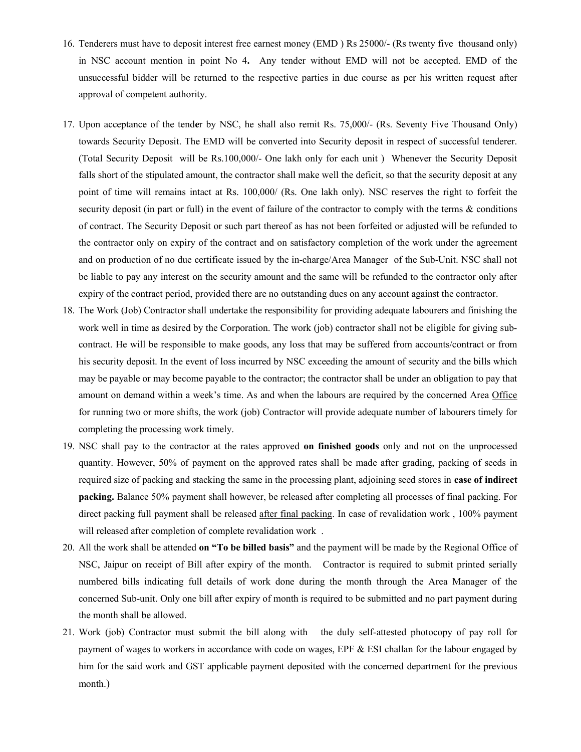- 16. Tenderers must have to deposit interest free earnest money (EMD ) Rs 25000/- (Rs twenty five thousand only) in NSC account mention in point No 4. Any tender without EMD will not be accepted. EMD of the unsuccessful bidder will be returned to the respective parties in due course as per his written request after approval of competent authority.
- 17. Upon acceptance of the tender by NSC, he shall also remit Rs. 75,000/- (Rs. Seventy Five Thousand Only) towards Security Deposit. The EMD will be converted into Security deposit in respect of successful tenderer. (Total Security Deposit will be Rs.100,000/- One lakh only for each unit ) Whenever the Security Deposit falls short of the stipulated amount, the contractor shall make well the deficit, so that the security deposit at any point of time will remains intact at Rs. 100,000/ (Rs. One lakh only). NSC reserves the right to forfeit the security deposit (in part or full) in the event of failure of the contractor to comply with the terms  $\&$  conditions of contract. The Security Deposit or such part thereof as has not been forfeited or adjusted will be refunded to the contractor only on expiry of the contract and on satisfactory completion of the work under the agreement and on production of no due certificate issued by the in-charge/Area Manager of the Sub-Unit. NSC shall not be liable to pay any interest on the security amount and the same will be refunded to the contractor only after expiry of the contract period, provided there are no outstanding dues on any account against the contractor.
- 18. The Work (Job) Contractor shall undertake the responsibility for providing adequate labourers and finishing the work well in time as desired by the Corporation. The work (job) contractor shall not be eligible for giving subcontract. He will be responsible to make goods, any loss that may be suffered from accounts/contract or from his security deposit. In the event of loss incurred by NSC exceeding the amount of security and the bills which may be payable or may become payable to the contractor; the contractor shall be under an obligation to pay that amount on demand within a week's time. As and when the labours are required by the concerned Area Office for running two or more shifts, the work (job) Contractor will provide adequate number of labourers timely for completing the processing work timely.
- 19. NSC shall pay to the contractor at the rates approved on finished goods only and not on the unprocessed quantity. However, 50% of payment on the approved rates shall be made after grading, packing of seeds in required size of packing and stacking the same in the processing plant, adjoining seed stores in case of indirect packing. Balance 50% payment shall however, be released after completing all processes of final packing. For direct packing full payment shall be released after final packing. In case of revalidation work , 100% payment will released after completion of complete revalidation work .
- 20. All the work shall be attended on "To be billed basis" and the payment will be made by the Regional Office of NSC, Jaipur on receipt of Bill after expiry of the month. Contractor is required to submit printed serially numbered bills indicating full details of work done during the month through the Area Manager of the concerned Sub-unit. Only one bill after expiry of month is required to be submitted and no part payment during the month shall be allowed.
- 21. Work (job) Contractor must submit the bill along with the duly self-attested photocopy of pay roll for payment of wages to workers in accordance with code on wages, EPF & ESI challan for the labour engaged by him for the said work and GST applicable payment deposited with the concerned department for the previous month.)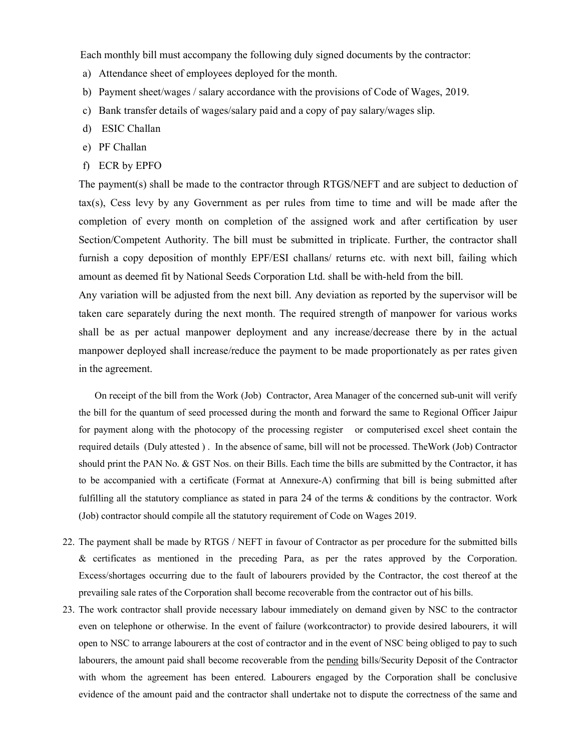Each monthly bill must accompany the following duly signed documents by the contractor:

- a) Attendance sheet of employees deployed for the month.
- b) Payment sheet/wages / salary accordance with the provisions of Code of Wages, 2019.
- c) Bank transfer details of wages/salary paid and a copy of pay salary/wages slip.
- d) ESIC Challan
- e) PF Challan
- f) ECR by EPFO

The payment(s) shall be made to the contractor through RTGS/NEFT and are subject to deduction of tax(s), Cess levy by any Government as per rules from time to time and will be made after the completion of every month on completion of the assigned work and after certification by user Section/Competent Authority. The bill must be submitted in triplicate. Further, the contractor shall furnish a copy deposition of monthly EPF/ESI challans/ returns etc. with next bill, failing which amount as deemed fit by National Seeds Corporation Ltd. shall be with-held from the bill.

Any variation will be adjusted from the next bill. Any deviation as reported by the supervisor will be taken care separately during the next month. The required strength of manpower for various works shall be as per actual manpower deployment and any increase/decrease there by in the actual manpower deployed shall increase/reduce the payment to be made proportionately as per rates given in the agreement.

On receipt of the bill from the Work (Job) Contractor, Area Manager of the concerned sub-unit will verify the bill for the quantum of seed processed during the month and forward the same to Regional Officer Jaipur for payment along with the photocopy of the processing register or computerised excel sheet contain the required details (Duly attested ) . In the absence of same, bill will not be processed. TheWork (Job) Contractor should print the PAN No. & GST Nos. on their Bills. Each time the bills are submitted by the Contractor, it has to be accompanied with a certificate (Format at Annexure-A) confirming that bill is being submitted after fulfilling all the statutory compliance as stated in para 24 of the terms & conditions by the contractor. Work (Job) contractor should compile all the statutory requirement of Code on Wages 2019.

- 22. The payment shall be made by RTGS / NEFT in favour of Contractor as per procedure for the submitted bills & certificates as mentioned in the preceding Para, as per the rates approved by the Corporation. Excess/shortages occurring due to the fault of labourers provided by the Contractor, the cost thereof at the prevailing sale rates of the Corporation shall become recoverable from the contractor out of his bills.
- 23. The work contractor shall provide necessary labour immediately on demand given by NSC to the contractor even on telephone or otherwise. In the event of failure (workcontractor) to provide desired labourers, it will open to NSC to arrange labourers at the cost of contractor and in the event of NSC being obliged to pay to such labourers, the amount paid shall become recoverable from the pending bills/Security Deposit of the Contractor with whom the agreement has been entered. Labourers engaged by the Corporation shall be conclusive evidence of the amount paid and the contractor shall undertake not to dispute the correctness of the same and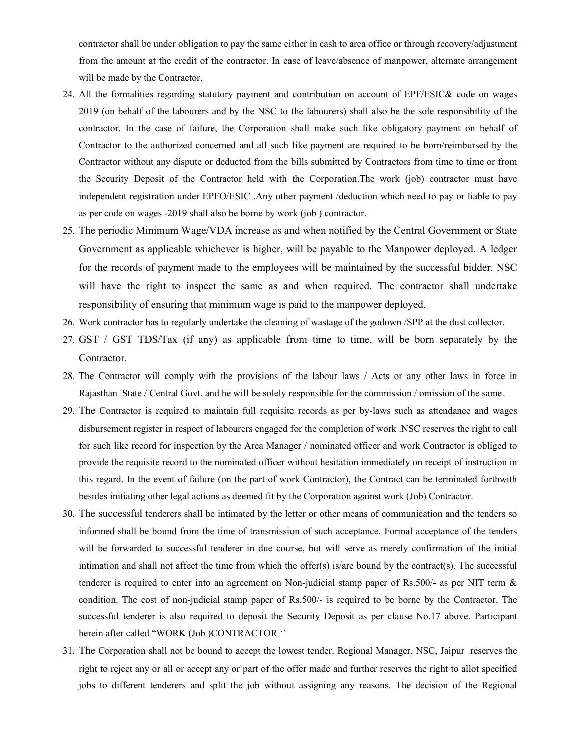contractor shall be under obligation to pay the same either in cash to area office or through recovery/adjustment from the amount at the credit of the contractor. In case of leave/absence of manpower, alternate arrangement will be made by the Contractor.

- 24. All the formalities regarding statutory payment and contribution on account of EPF/ESIC& code on wages 2019 (on behalf of the labourers and by the NSC to the labourers) shall also be the sole responsibility of the contractor. In the case of failure, the Corporation shall make such like obligatory payment on behalf of Contractor to the authorized concerned and all such like payment are required to be born/reimbursed by the Contractor without any dispute or deducted from the bills submitted by Contractors from time to time or from the Security Deposit of the Contractor held with the Corporation.The work (job) contractor must have independent registration under EPFO/ESIC .Any other payment /deduction which need to pay or liable to pay as per code on wages -2019 shall also be borne by work (job ) contractor.
- 25. The periodic Minimum Wage/VDA increase as and when notified by the Central Government or State Government as applicable whichever is higher, will be payable to the Manpower deployed. A ledger for the records of payment made to the employees will be maintained by the successful bidder. NSC will have the right to inspect the same as and when required. The contractor shall undertake responsibility of ensuring that minimum wage is paid to the manpower deployed.
- 26. Work contractor has to regularly undertake the cleaning of wastage of the godown /SPP at the dust collector.
- 27. GST / GST TDS/Tax (if any) as applicable from time to time, will be born separately by the Contractor.
- 28. The Contractor will comply with the provisions of the labour laws / Acts or any other laws in force in Rajasthan State / Central Govt. and he will be solely responsible for the commission / omission of the same.
- 29. The Contractor is required to maintain full requisite records as per by-laws such as attendance and wages disbursement register in respect of labourers engaged for the completion of work .NSC reserves the right to call for such like record for inspection by the Area Manager / nominated officer and work Contractor is obliged to provide the requisite record to the nominated officer without hesitation immediately on receipt of instruction in this regard. In the event of failure (on the part of work Contractor), the Contract can be terminated forthwith besides initiating other legal actions as deemed fit by the Corporation against work (Job) Contractor.
- 30. The successful tenderers shall be intimated by the letter or other means of communication and the tenders so informed shall be bound from the time of transmission of such acceptance. Formal acceptance of the tenders will be forwarded to successful tenderer in due course, but will serve as merely confirmation of the initial intimation and shall not affect the time from which the offer $(s)$  is/are bound by the contract $(s)$ . The successful tenderer is required to enter into an agreement on Non-judicial stamp paper of Rs.500/- as per NIT term & condition. The cost of non-judicial stamp paper of Rs.500/- is required to be borne by the Contractor. The successful tenderer is also required to deposit the Security Deposit as per clause No.17 above. Participant herein after called "WORK (Job )CONTRACTOR ''
- 31. The Corporation shall not be bound to accept the lowest tender. Regional Manager, NSC, Jaipur reserves the right to reject any or all or accept any or part of the offer made and further reserves the right to allot specified jobs to different tenderers and split the job without assigning any reasons. The decision of the Regional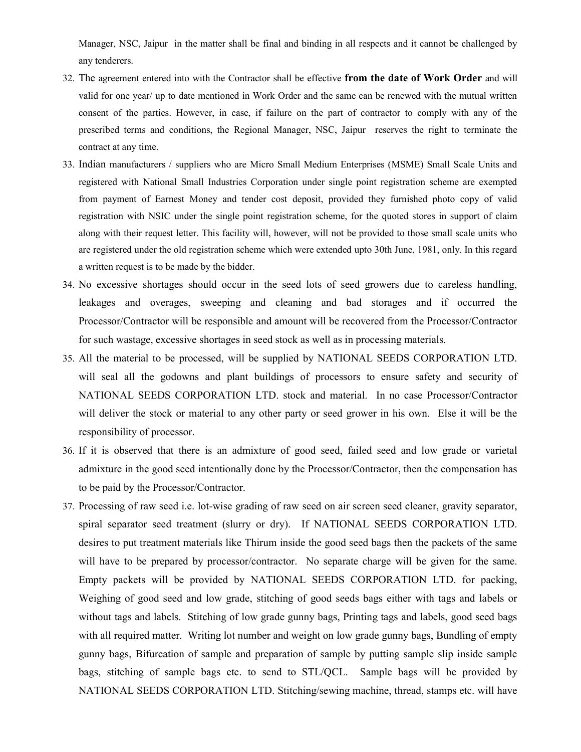Manager, NSC, Jaipur in the matter shall be final and binding in all respects and it cannot be challenged by any tenderers.

- 32. The agreement entered into with the Contractor shall be effective from the date of Work Order and will valid for one year/ up to date mentioned in Work Order and the same can be renewed with the mutual written consent of the parties. However, in case, if failure on the part of contractor to comply with any of the prescribed terms and conditions, the Regional Manager, NSC, Jaipur reserves the right to terminate the contract at any time.
- 33. Indian manufacturers / suppliers who are Micro Small Medium Enterprises (MSME) Small Scale Units and registered with National Small Industries Corporation under single point registration scheme are exempted from payment of Earnest Money and tender cost deposit, provided they furnished photo copy of valid registration with NSIC under the single point registration scheme, for the quoted stores in support of claim along with their request letter. This facility will, however, will not be provided to those small scale units who are registered under the old registration scheme which were extended upto 30th June, 1981, only. In this regard a written request is to be made by the bidder.
- 34. No excessive shortages should occur in the seed lots of seed growers due to careless handling, leakages and overages, sweeping and cleaning and bad storages and if occurred the Processor/Contractor will be responsible and amount will be recovered from the Processor/Contractor for such wastage, excessive shortages in seed stock as well as in processing materials.
- 35. All the material to be processed, will be supplied by NATIONAL SEEDS CORPORATION LTD. will seal all the godowns and plant buildings of processors to ensure safety and security of NATIONAL SEEDS CORPORATION LTD. stock and material. In no case Processor/Contractor will deliver the stock or material to any other party or seed grower in his own. Else it will be the responsibility of processor.
- 36. If it is observed that there is an admixture of good seed, failed seed and low grade or varietal admixture in the good seed intentionally done by the Processor/Contractor, then the compensation has to be paid by the Processor/Contractor.
- 37. Processing of raw seed i.e. lot-wise grading of raw seed on air screen seed cleaner, gravity separator, spiral separator seed treatment (slurry or dry). If NATIONAL SEEDS CORPORATION LTD. desires to put treatment materials like Thirum inside the good seed bags then the packets of the same will have to be prepared by processor/contractor. No separate charge will be given for the same. Empty packets will be provided by NATIONAL SEEDS CORPORATION LTD. for packing, Weighing of good seed and low grade, stitching of good seeds bags either with tags and labels or without tags and labels. Stitching of low grade gunny bags, Printing tags and labels, good seed bags with all required matter. Writing lot number and weight on low grade gunny bags, Bundling of empty gunny bags, Bifurcation of sample and preparation of sample by putting sample slip inside sample bags, stitching of sample bags etc. to send to STL/QCL. Sample bags will be provided by NATIONAL SEEDS CORPORATION LTD. Stitching/sewing machine, thread, stamps etc. will have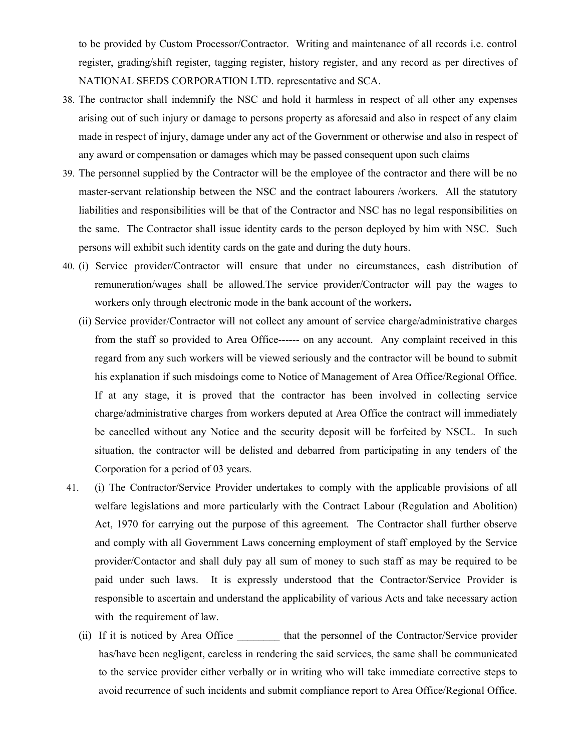to be provided by Custom Processor/Contractor. Writing and maintenance of all records i.e. control register, grading/shift register, tagging register, history register, and any record as per directives of NATIONAL SEEDS CORPORATION LTD. representative and SCA.

- 38. The contractor shall indemnify the NSC and hold it harmless in respect of all other any expenses arising out of such injury or damage to persons property as aforesaid and also in respect of any claim made in respect of injury, damage under any act of the Government or otherwise and also in respect of any award or compensation or damages which may be passed consequent upon such claims
- 39. The personnel supplied by the Contractor will be the employee of the contractor and there will be no master-servant relationship between the NSC and the contract labourers /workers. All the statutory liabilities and responsibilities will be that of the Contractor and NSC has no legal responsibilities on the same. The Contractor shall issue identity cards to the person deployed by him with NSC. Such persons will exhibit such identity cards on the gate and during the duty hours.
- 40. (i) Service provider/Contractor will ensure that under no circumstances, cash distribution of remuneration/wages shall be allowed.The service provider/Contractor will pay the wages to workers only through electronic mode in the bank account of the workers.
	- (ii) Service provider/Contractor will not collect any amount of service charge/administrative charges from the staff so provided to Area Office------ on any account. Any complaint received in this regard from any such workers will be viewed seriously and the contractor will be bound to submit his explanation if such misdoings come to Notice of Management of Area Office/Regional Office. If at any stage, it is proved that the contractor has been involved in collecting service charge/administrative charges from workers deputed at Area Office the contract will immediately be cancelled without any Notice and the security deposit will be forfeited by NSCL. In such situation, the contractor will be delisted and debarred from participating in any tenders of the Corporation for a period of 03 years.
- 41. (i) The Contractor/Service Provider undertakes to comply with the applicable provisions of all welfare legislations and more particularly with the Contract Labour (Regulation and Abolition) Act, 1970 for carrying out the purpose of this agreement. The Contractor shall further observe and comply with all Government Laws concerning employment of staff employed by the Service provider/Contactor and shall duly pay all sum of money to such staff as may be required to be paid under such laws. It is expressly understood that the Contractor/Service Provider is responsible to ascertain and understand the applicability of various Acts and take necessary action with the requirement of law.
	- (ii) If it is noticed by Area Office that the personnel of the Contractor/Service provider has/have been negligent, careless in rendering the said services, the same shall be communicated to the service provider either verbally or in writing who will take immediate corrective steps to avoid recurrence of such incidents and submit compliance report to Area Office/Regional Office.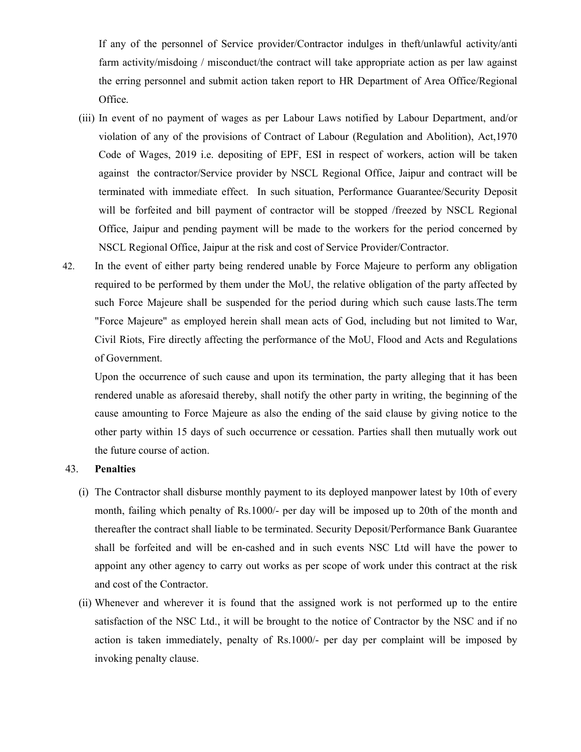If any of the personnel of Service provider/Contractor indulges in theft/unlawful activity/anti farm activity/misdoing / misconduct/the contract will take appropriate action as per law against the erring personnel and submit action taken report to HR Department of Area Office/Regional Office.

- (iii) In event of no payment of wages as per Labour Laws notified by Labour Department, and/or violation of any of the provisions of Contract of Labour (Regulation and Abolition), Act,1970 Code of Wages, 2019 i.e. depositing of EPF, ESI in respect of workers, action will be taken against the contractor/Service provider by NSCL Regional Office, Jaipur and contract will be terminated with immediate effect. In such situation, Performance Guarantee/Security Deposit will be forfeited and bill payment of contractor will be stopped /freezed by NSCL Regional Office, Jaipur and pending payment will be made to the workers for the period concerned by NSCL Regional Office, Jaipur at the risk and cost of Service Provider/Contractor.
- 42. In the event of either party being rendered unable by Force Majeure to perform any obligation required to be performed by them under the MoU, the relative obligation of the party affected by such Force Majeure shall be suspended for the period during which such cause lasts.The term "Force Majeure" as employed herein shall mean acts of God, including but not limited to War, Civil Riots, Fire directly affecting the performance of the MoU, Flood and Acts and Regulations of Government.

Upon the occurrence of such cause and upon its termination, the party alleging that it has been rendered unable as aforesaid thereby, shall notify the other party in writing, the beginning of the cause amounting to Force Majeure as also the ending of the said clause by giving notice to the other party within 15 days of such occurrence or cessation. Parties shall then mutually work out the future course of action.

### 43. Penalties

- (i) The Contractor shall disburse monthly payment to its deployed manpower latest by 10th of every month, failing which penalty of Rs.1000/- per day will be imposed up to 20th of the month and thereafter the contract shall liable to be terminated. Security Deposit/Performance Bank Guarantee shall be forfeited and will be en-cashed and in such events NSC Ltd will have the power to appoint any other agency to carry out works as per scope of work under this contract at the risk and cost of the Contractor.
- (ii) Whenever and wherever it is found that the assigned work is not performed up to the entire satisfaction of the NSC Ltd., it will be brought to the notice of Contractor by the NSC and if no action is taken immediately, penalty of Rs.1000/- per day per complaint will be imposed by invoking penalty clause.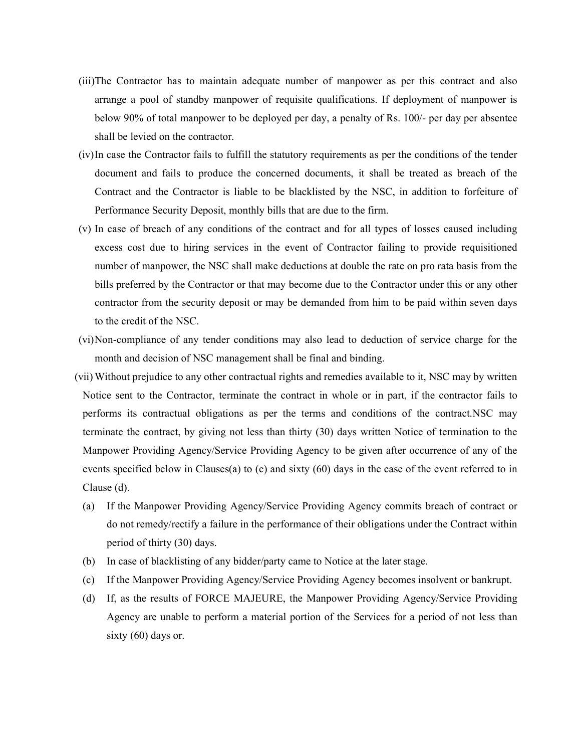- (iii)The Contractor has to maintain adequate number of manpower as per this contract and also arrange a pool of standby manpower of requisite qualifications. If deployment of manpower is below 90% of total manpower to be deployed per day, a penalty of Rs. 100/- per day per absentee shall be levied on the contractor.
- (iv)In case the Contractor fails to fulfill the statutory requirements as per the conditions of the tender document and fails to produce the concerned documents, it shall be treated as breach of the Contract and the Contractor is liable to be blacklisted by the NSC, in addition to forfeiture of Performance Security Deposit, monthly bills that are due to the firm.
- (v) In case of breach of any conditions of the contract and for all types of losses caused including excess cost due to hiring services in the event of Contractor failing to provide requisitioned number of manpower, the NSC shall make deductions at double the rate on pro rata basis from the bills preferred by the Contractor or that may become due to the Contractor under this or any other contractor from the security deposit or may be demanded from him to be paid within seven days to the credit of the NSC.
- (vi)Non-compliance of any tender conditions may also lead to deduction of service charge for the month and decision of NSC management shall be final and binding.
- (vii) Without prejudice to any other contractual rights and remedies available to it, NSC may by written Notice sent to the Contractor, terminate the contract in whole or in part, if the contractor fails to performs its contractual obligations as per the terms and conditions of the contract.NSC may terminate the contract, by giving not less than thirty (30) days written Notice of termination to the Manpower Providing Agency/Service Providing Agency to be given after occurrence of any of the events specified below in Clauses(a) to (c) and sixty (60) days in the case of the event referred to in Clause (d).
	- (a) If the Manpower Providing Agency/Service Providing Agency commits breach of contract or do not remedy/rectify a failure in the performance of their obligations under the Contract within period of thirty (30) days.
	- (b) In case of blacklisting of any bidder/party came to Notice at the later stage.
	- (c) If the Manpower Providing Agency/Service Providing Agency becomes insolvent or bankrupt.
	- (d) If, as the results of FORCE MAJEURE, the Manpower Providing Agency/Service Providing Agency are unable to perform a material portion of the Services for a period of not less than sixty (60) days or.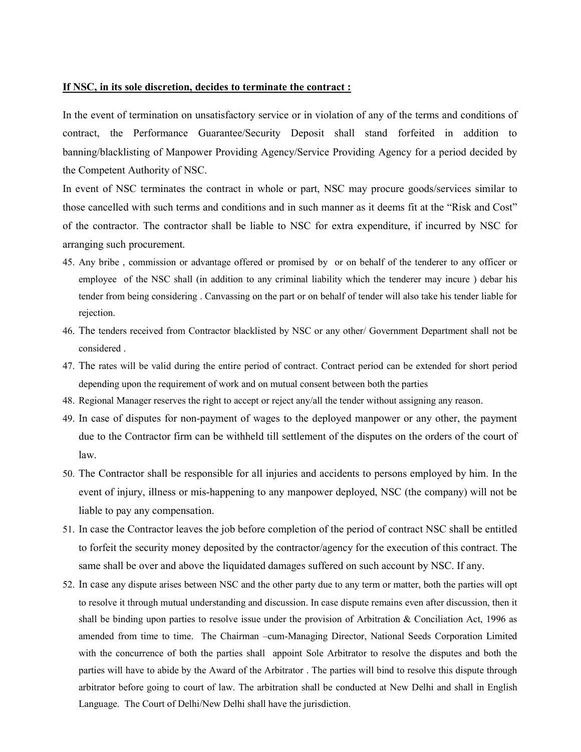#### If NSC, in its sole discretion, decides to terminate the contract :

In the event of termination on unsatisfactory service or in violation of any of the terms and conditions of contract, the Performance Guarantee/Security Deposit shall stand forfeited in addition to banning/blacklisting of Manpower Providing Agency/Service Providing Agency for a period decided by the Competent Authority of NSC.

In event of NSC terminates the contract in whole or part, NSC may procure goods/services similar to those cancelled with such terms and conditions and in such manner as it deems fit at the "Risk and Cost" of the contractor. The contractor shall be liable to NSC for extra expenditure, if incurred by NSC for arranging such procurement.

- 45. Any bribe , commission or advantage offered or promised by or on behalf of the tenderer to any officer or employee of the NSC shall (in addition to any criminal liability which the tenderer may incure ) debar his tender from being considering . Canvassing on the part or on behalf of tender will also take his tender liable for rejection.
- 46. The tenders received from Contractor blacklisted by NSC or any other/ Government Department shall not be considered .
- 47. The rates will be valid during the entire period of contract. Contract period can be extended for short period depending upon the requirement of work and on mutual consent between both the parties
- 48. Regional Manager reserves the right to accept or reject any/all the tender without assigning any reason.
- 49. In case of disputes for non-payment of wages to the deployed manpower or any other, the payment due to the Contractor firm can be withheld till settlement of the disputes on the orders of the court of law.
- 50. The Contractor shall be responsible for all injuries and accidents to persons employed by him. In the event of injury, illness or mis-happening to any manpower deployed, NSC (the company) will not be liable to pay any compensation.
- 51. In case the Contractor leaves the job before completion of the period of contract NSC shall be entitled to forfeit the security money deposited by the contractor/agency for the execution of this contract. The same shall be over and above the liquidated damages suffered on such account by NSC. If any.
- 52. In case any dispute arises between NSC and the other party due to any term or matter, both the parties will opt to resolve it through mutual understanding and discussion. In case dispute remains even after discussion, then it shall be binding upon parties to resolve issue under the provision of Arbitration & Conciliation Act, 1996 as amended from time to time. The Chairman –cum-Managing Director, National Seeds Corporation Limited with the concurrence of both the parties shall appoint Sole Arbitrator to resolve the disputes and both the parties will have to abide by the Award of the Arbitrator . The parties will bind to resolve this dispute through arbitrator before going to court of law. The arbitration shall be conducted at New Delhi and shall in English Language. The Court of Delhi/New Delhi shall have the jurisdiction.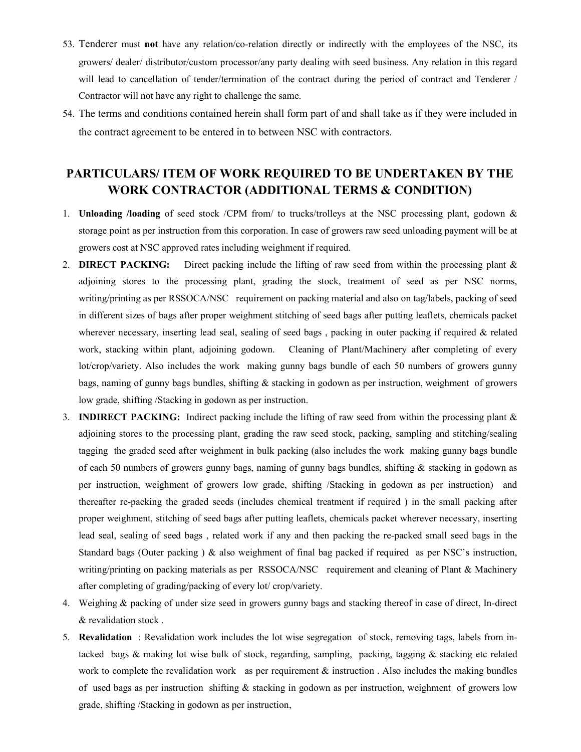- 53. Tenderer must not have any relation/co-relation directly or indirectly with the employees of the NSC, its growers/ dealer/ distributor/custom processor/any party dealing with seed business. Any relation in this regard will lead to cancellation of tender/termination of the contract during the period of contract and Tenderer / Contractor will not have any right to challenge the same.
- 54. The terms and conditions contained herein shall form part of and shall take as if they were included in the contract agreement to be entered in to between NSC with contractors.

# PARTICULARS/ ITEM OF WORK REQUIRED TO BE UNDERTAKEN BY THE WORK CONTRACTOR (ADDITIONAL TERMS & CONDITION)

- 1. Unloading /loading of seed stock /CPM from/ to trucks/trolleys at the NSC processing plant, godown & storage point as per instruction from this corporation. In case of growers raw seed unloading payment will be at growers cost at NSC approved rates including weighment if required.
- 2. **DIRECT PACKING:** Direct packing include the lifting of raw seed from within the processing plant & adjoining stores to the processing plant, grading the stock, treatment of seed as per NSC norms, writing/printing as per RSSOCA/NSC requirement on packing material and also on tag/labels, packing of seed in different sizes of bags after proper weighment stitching of seed bags after putting leaflets, chemicals packet wherever necessary, inserting lead seal, sealing of seed bags, packing in outer packing if required & related work, stacking within plant, adjoining godown. Cleaning of Plant/Machinery after completing of every lot/crop/variety. Also includes the work making gunny bags bundle of each 50 numbers of growers gunny bags, naming of gunny bags bundles, shifting & stacking in godown as per instruction, weighment of growers low grade, shifting /Stacking in godown as per instruction.
- 3. INDIRECT PACKING: Indirect packing include the lifting of raw seed from within the processing plant & adjoining stores to the processing plant, grading the raw seed stock, packing, sampling and stitching/sealing tagging the graded seed after weighment in bulk packing (also includes the work making gunny bags bundle of each 50 numbers of growers gunny bags, naming of gunny bags bundles, shifting & stacking in godown as per instruction, weighment of growers low grade, shifting /Stacking in godown as per instruction) and thereafter re-packing the graded seeds (includes chemical treatment if required ) in the small packing after proper weighment, stitching of seed bags after putting leaflets, chemicals packet wherever necessary, inserting lead seal, sealing of seed bags , related work if any and then packing the re-packed small seed bags in the Standard bags (Outer packing ) & also weighment of final bag packed if required as per NSC's instruction, writing/printing on packing materials as per RSSOCA/NSC requirement and cleaning of Plant & Machinery after completing of grading/packing of every lot/ crop/variety.
- 4. Weighing & packing of under size seed in growers gunny bags and stacking thereof in case of direct, In-direct & revalidation stock .
- 5. Revalidation : Revalidation work includes the lot wise segregation of stock, removing tags, labels from intacked bags & making lot wise bulk of stock, regarding, sampling, packing, tagging & stacking etc related work to complete the revalidation work as per requirement  $\&$  instruction. Also includes the making bundles of used bags as per instruction shifting  $\&$  stacking in godown as per instruction, weighment of growers low grade, shifting /Stacking in godown as per instruction,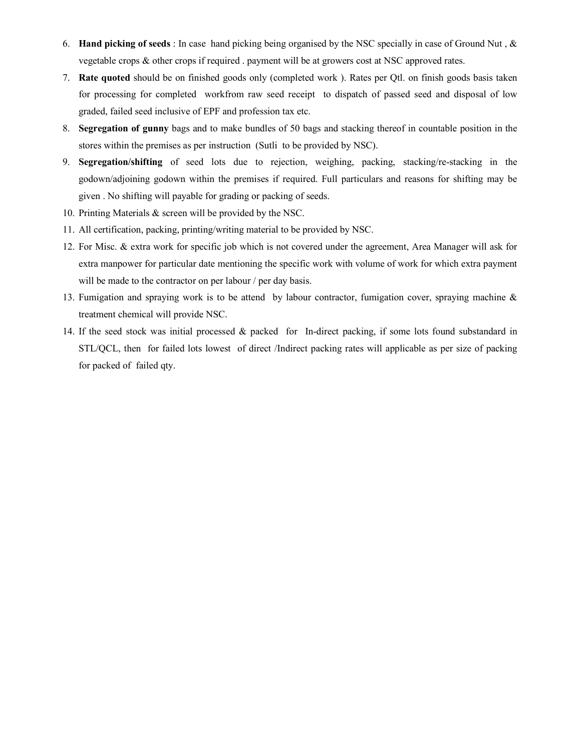- 6. Hand picking of seeds : In case hand picking being organised by the NSC specially in case of Ground Nut , & vegetable crops & other crops if required . payment will be at growers cost at NSC approved rates.
- 7. Rate quoted should be on finished goods only (completed work ). Rates per Qtl. on finish goods basis taken for processing for completed workfrom raw seed receipt to dispatch of passed seed and disposal of low graded, failed seed inclusive of EPF and profession tax etc.
- 8. Segregation of gunny bags and to make bundles of 50 bags and stacking thereof in countable position in the stores within the premises as per instruction (Sutli to be provided by NSC).
- 9. Segregation/shifting of seed lots due to rejection, weighing, packing, stacking/re-stacking in the godown/adjoining godown within the premises if required. Full particulars and reasons for shifting may be given . No shifting will payable for grading or packing of seeds.
- 10. Printing Materials & screen will be provided by the NSC.
- 11. All certification, packing, printing/writing material to be provided by NSC.
- 12. For Misc. & extra work for specific job which is not covered under the agreement, Area Manager will ask for extra manpower for particular date mentioning the specific work with volume of work for which extra payment will be made to the contractor on per labour / per day basis.
- 13. Fumigation and spraying work is to be attend by labour contractor, fumigation cover, spraying machine & treatment chemical will provide NSC.
- 14. If the seed stock was initial processed & packed for In-direct packing, if some lots found substandard in STL/QCL, then for failed lots lowest of direct /Indirect packing rates will applicable as per size of packing for packed of failed qty.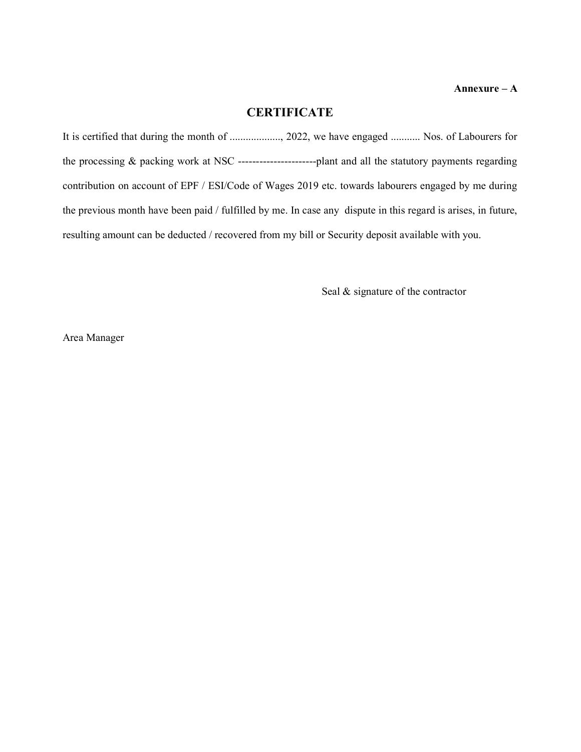## **CERTIFICATE**

It is certified that during the month of ..................., 2022, we have engaged ........... Nos. of Labourers for the processing & packing work at NSC ----------------------plant and all the statutory payments regarding contribution on account of EPF / ESI/Code of Wages 2019 etc. towards labourers engaged by me during the previous month have been paid / fulfilled by me. In case any dispute in this regard is arises, in future, resulting amount can be deducted / recovered from my bill or Security deposit available with you.

Seal & signature of the contractor

Area Manager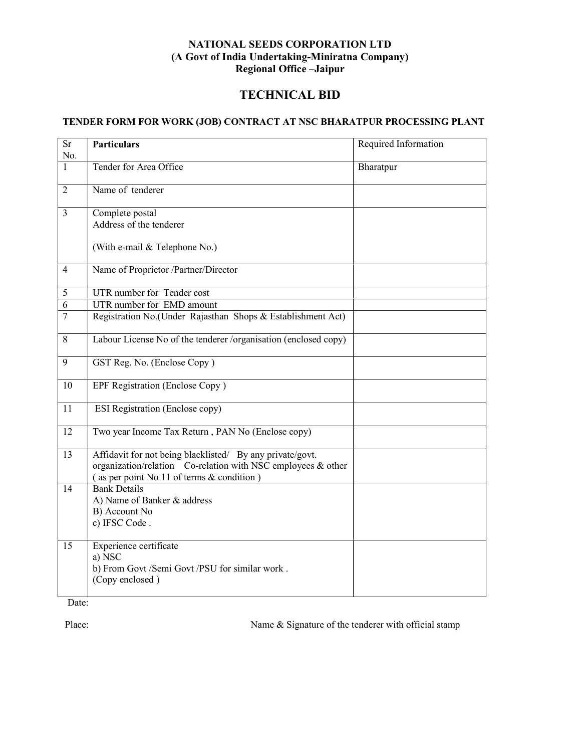### NATIONAL SEEDS CORPORATION LTD (A Govt of India Undertaking-Miniratna Company) Regional Office –Jaipur

## TECHNICAL BID

## TENDER FORM FOR WORK (JOB) CONTRACT AT NSC BHARATPUR PROCESSING PLANT

| <b>Sr</b><br>No. | <b>Particulars</b>                                                                                                                                                     | Required Information |
|------------------|------------------------------------------------------------------------------------------------------------------------------------------------------------------------|----------------------|
| 1                | Tender for Area Office                                                                                                                                                 | Bharatpur            |
| $\overline{2}$   | Name of tenderer                                                                                                                                                       |                      |
| $\overline{3}$   | Complete postal<br>Address of the tenderer                                                                                                                             |                      |
|                  | (With e-mail & Telephone No.)                                                                                                                                          |                      |
| $\overline{4}$   | Name of Proprietor /Partner/Director                                                                                                                                   |                      |
| 5                | UTR number for Tender cost                                                                                                                                             |                      |
| 6                | UTR number for EMD amount                                                                                                                                              |                      |
| $\overline{7}$   | Registration No.(Under Rajasthan Shops & Establishment Act)                                                                                                            |                      |
| 8                | Labour License No of the tenderer /organisation (enclosed copy)                                                                                                        |                      |
| 9                | GST Reg. No. (Enclose Copy)                                                                                                                                            |                      |
| 10               | EPF Registration (Enclose Copy)                                                                                                                                        |                      |
| 11               | <b>ESI Registration (Enclose copy)</b>                                                                                                                                 |                      |
| 12               | Two year Income Tax Return, PAN No (Enclose copy)                                                                                                                      |                      |
| 13               | Affidavit for not being blacklisted/ By any private/govt.<br>organization/relation Co-relation with NSC employees & other<br>(as per point No 11 of terms & condition) |                      |
| 14               | <b>Bank Details</b><br>A) Name of Banker & address<br>B) Account No<br>c) IFSC Code.                                                                                   |                      |
| 15               | Experience certificate<br>a) NSC<br>b) From Govt /Semi Govt /PSU for similar work.<br>(Copy enclosed)                                                                  |                      |

Date:

Place: Name & Signature of the tenderer with official stamp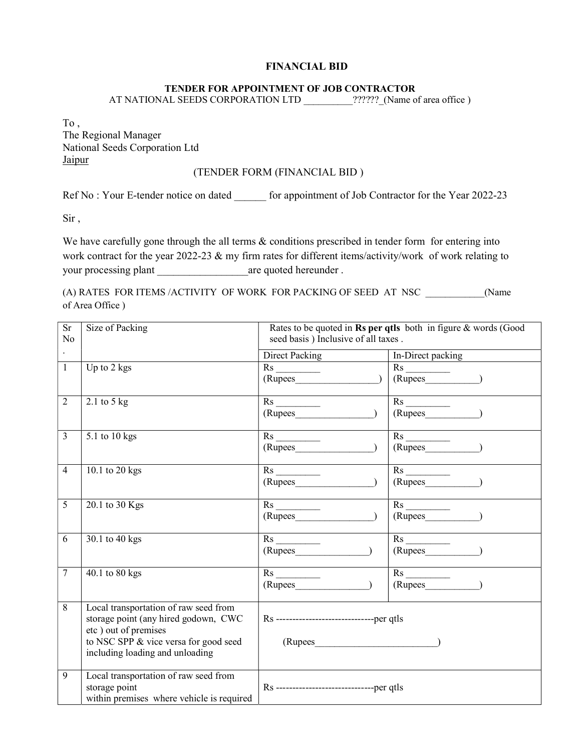### FINANCIAL BID

### TENDER FOR APPOINTMENT OF JOB CONTRACTOR

AT NATIONAL SEEDS CORPORATION LTD \_\_\_\_\_\_\_\_\_\_??????\_(Name of area office)

To , The Regional Manager National Seeds Corporation Ltd Jaipur

### (TENDER FORM (FINANCIAL BID )

Ref No : Your E-tender notice on dated for appointment of Job Contractor for the Year 2022-23

Sir ,

We have carefully gone through the all terms  $\&$  conditions prescribed in tender form for entering into work contract for the year 2022-23 & my firm rates for different items/activity/work of work relating to your processing plant are quoted hereunder .

(A) RATES FOR ITEMS /ACTIVITY OF WORK FOR PACKING OF SEED AT NSC \_\_\_\_\_\_\_\_\_\_\_\_(Name of Area Office )

| <b>Sr</b><br>N <sub>o</sub> | Size of Packing                                                                                                                                                                   | Rates to be quoted in Rs per qtls both in figure & words (Good<br>seed basis) Inclusive of all taxes. |                                                                   |  |
|-----------------------------|-----------------------------------------------------------------------------------------------------------------------------------------------------------------------------------|-------------------------------------------------------------------------------------------------------|-------------------------------------------------------------------|--|
| $\ddot{\phantom{0}}$        |                                                                                                                                                                                   | <b>Direct Packing</b>                                                                                 | In-Direct packing                                                 |  |
| $\mathbf{1}$                | Up to 2 kgs                                                                                                                                                                       | $(Rupees$ (                                                                                           | $(Rupees$ $)$                                                     |  |
| $\overline{2}$              | $2.1$ to $5$ kg                                                                                                                                                                   |                                                                                                       | $\overline{R}s$<br>$(Rupees$ $)$                                  |  |
| $\overline{3}$              | 5.1 to 10 kgs                                                                                                                                                                     | $\overline{\text{Rs}}$                                                                                | $\overline{R}s$<br>$(Rupees$ $)$                                  |  |
| $\overline{4}$              | 10.1 to 20 kgs                                                                                                                                                                    | Rs                                                                                                    | $(Rupees$ $)$                                                     |  |
| 5                           | 20.1 to 30 Kgs                                                                                                                                                                    |                                                                                                       | $\xrightarrow{\text{Rs}}\text{ (Rupees}\underline{\hspace{2cm}})$ |  |
| 6                           | 30.1 to 40 kgs                                                                                                                                                                    | $\overline{Rs}$<br>(Rupees                                                                            | $\overline{\text{Rs}}$<br>$(Rupees$ $)$                           |  |
| $\tau$                      | 40.1 to 80 kgs                                                                                                                                                                    | (Rupees                                                                                               | $(Rupees$ $)$                                                     |  |
| 8                           | Local transportation of raw seed from<br>storage point (any hired godown, CWC<br>etc) out of premises<br>to NSC SPP & vice versa for good seed<br>including loading and unloading | Rs ---------------------------------per qtls<br>$(Rupees$ (2000)                                      |                                                                   |  |
| 9                           | Local transportation of raw seed from<br>storage point<br>within premises where vehicle is required                                                                               | Rs --------------------------------per qtls                                                           |                                                                   |  |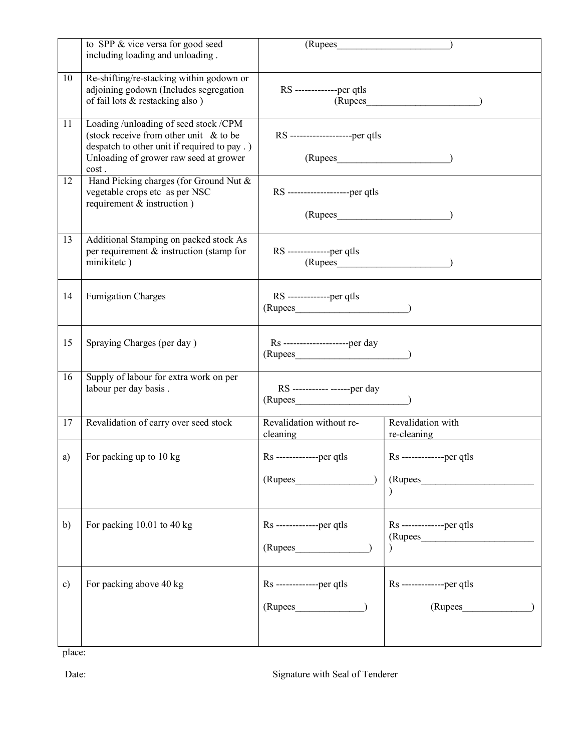|               | to SPP & vice versa for good seed<br>including loading and unloading.                                                                                                                 | (Rupees                                             |                                        |
|---------------|---------------------------------------------------------------------------------------------------------------------------------------------------------------------------------------|-----------------------------------------------------|----------------------------------------|
| 10            | Re-shifting/re-stacking within godown or<br>adjoining godown (Includes segregation<br>of fail lots & restacking also)                                                                 | RS --------------per qtls                           | $(Rupees$ (2000)                       |
| 11            | Loading /unloading of seed stock /CPM<br>(stock receive from other unit $\&$ to be<br>despatch to other unit if required to pay .)<br>Unloading of grower raw seed at grower<br>cost. | RS --------------------per qtls                     |                                        |
| 12            | Hand Picking charges (for Ground Nut &<br>vegetable crops etc as per NSC<br>requirement & instruction)                                                                                | RS --------------------per qtls                     |                                        |
| 13            | Additional Stamping on packed stock As<br>per requirement & instruction (stamp for<br>minikitetc)                                                                                     | RS --------------per qtls<br>$(Rupees$ ( $)$        |                                        |
| 14            | <b>Fumigation Charges</b>                                                                                                                                                             | RS --------------per qtls<br>$(Rupees$ (2000)       |                                        |
| 15            | Spraying Charges (per day)                                                                                                                                                            | Rs ---------------------per day<br>$(Rupees$ (2004) |                                        |
| 16            | Supply of labour for extra work on per<br>labour per day basis.                                                                                                                       | RS ----------- ------per day<br>$(Rupees$ (2002)    |                                        |
| 17            | Revalidation of carry over seed stock                                                                                                                                                 | Revalidation without re-<br>cleaning                | Revalidation with<br>re-cleaning       |
| a)            | For packing up to 10 kg                                                                                                                                                               | Rs --------------per qtls<br>(Rupees                | Rs --------------per qtls<br>(Rupees   |
| b)            | For packing 10.01 to 40 kg                                                                                                                                                            | Rs --------------per qtls<br>(Rupees                | Rs --------------per qtls<br>(Rupees   |
| $\mathbf{c})$ | For packing above 40 kg                                                                                                                                                               | Rs --------------per qtls<br>(Rupees                | $Rs$ --------------per qtls<br>(Rupees |

place:

Date: Signature with Seal of Tenderer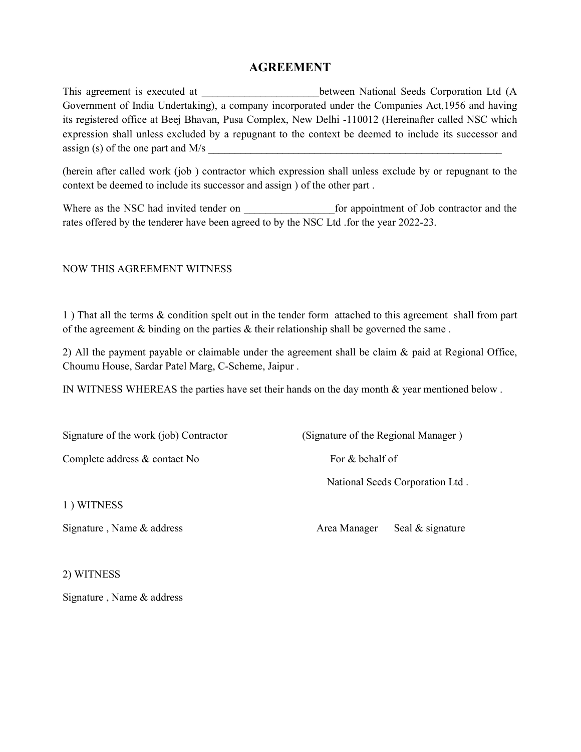## AGREEMENT

This agreement is executed at  $\qquad \qquad$  between National Seeds Corporation Ltd (A Government of India Undertaking), a company incorporated under the Companies Act,1956 and having its registered office at Beej Bhavan, Pusa Complex, New Delhi -110012 (Hereinafter called NSC which expression shall unless excluded by a repugnant to the context be deemed to include its successor and assign (s) of the one part and  $M/s$ 

(herein after called work (job ) contractor which expression shall unless exclude by or repugnant to the context be deemed to include its successor and assign ) of the other part .

Where as the NSC had invited tender on  $\qquad \qquad$  for appointment of Job contractor and the rates offered by the tenderer have been agreed to by the NSC Ltd .for the year 2022-23.

### NOW THIS AGREEMENT WITNESS

1 ) That all the terms & condition spelt out in the tender form attached to this agreement shall from part of the agreement & binding on the parties & their relationship shall be governed the same .

2) All the payment payable or claimable under the agreement shall be claim & paid at Regional Office, Choumu House, Sardar Patel Marg, C-Scheme, Jaipur .

IN WITNESS WHEREAS the parties have set their hands on the day month & year mentioned below .

Signature of the work (job) Contractor (Signature of the Regional Manager) Complete address & contact No For & behalf of National Seeds Corporation Ltd . 1 ) WITNESS

Signature, Name & address Area Manager Seal & signature

2) WITNESS

Signature , Name & address